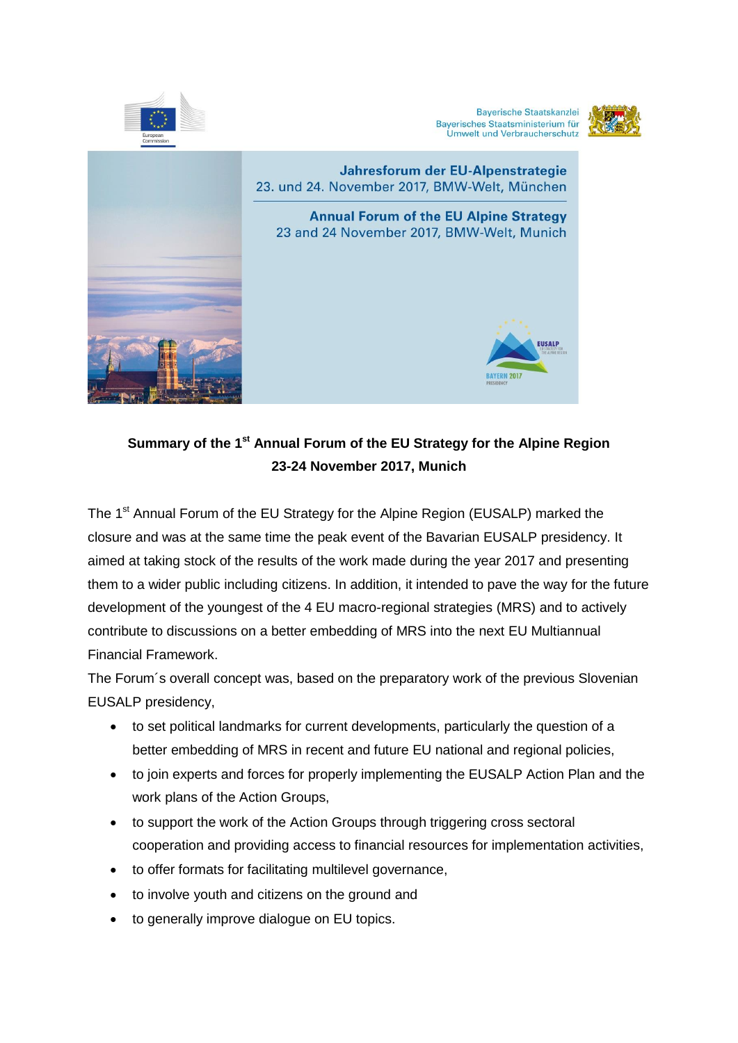

**Bayerische Staatskanzlei** Bayerisches Staatsministerium für<br>Umwelt und Verbraucherschutz





# **Summary of the 1st Annual Forum of the EU Strategy for the Alpine Region 23-24 November 2017, Munich**

The 1<sup>st</sup> Annual Forum of the EU Strategy for the Alpine Region (EUSALP) marked the closure and was at the same time the peak event of the Bavarian EUSALP presidency. It aimed at taking stock of the results of the work made during the year 2017 and presenting them to a wider public including citizens. In addition, it intended to pave the way for the future development of the youngest of the 4 EU macro-regional strategies (MRS) and to actively contribute to discussions on a better embedding of MRS into the next EU Multiannual Financial Framework.

The Forum´s overall concept was, based on the preparatory work of the previous Slovenian EUSALP presidency,

- to set political landmarks for current developments, particularly the question of a better embedding of MRS in recent and future EU national and regional policies,
- to join experts and forces for properly implementing the EUSALP Action Plan and the work plans of the Action Groups,
- to support the work of the Action Groups through triggering cross sectoral cooperation and providing access to financial resources for implementation activities,
- to offer formats for facilitating multilevel governance,
- to involve youth and citizens on the ground and
- to generally improve dialogue on EU topics.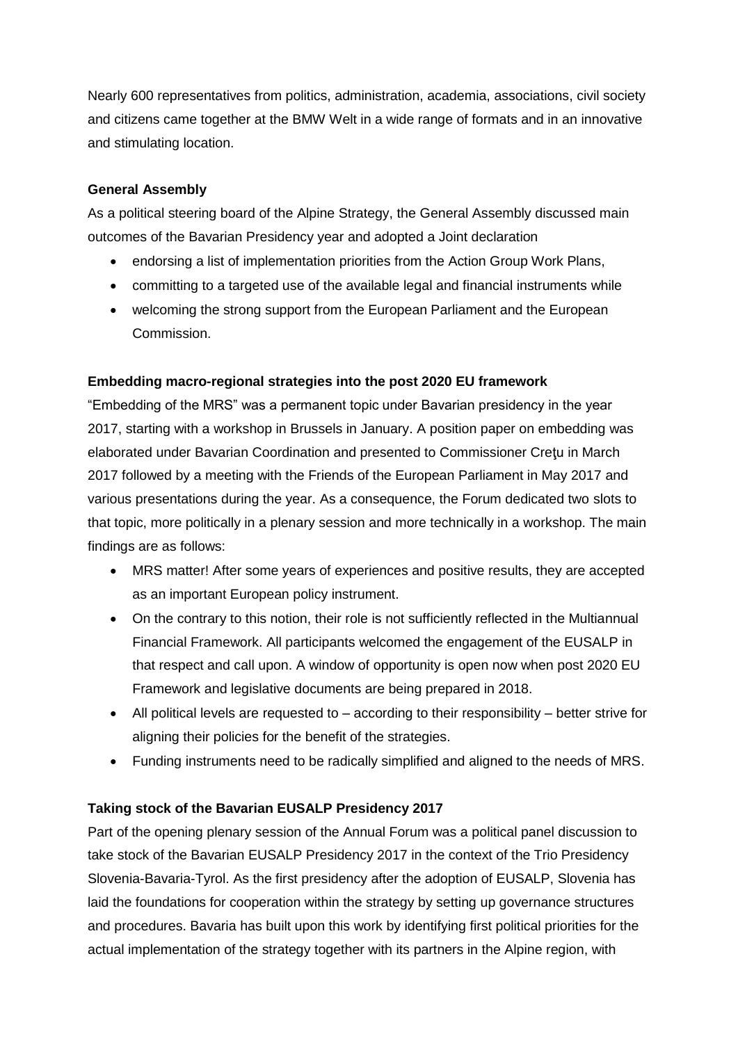Nearly 600 representatives from politics, administration, academia, associations, civil society and citizens came together at the BMW Welt in a wide range of formats and in an innovative and stimulating location.

### **General Assembly**

As a political steering board of the Alpine Strategy, the General Assembly discussed main outcomes of the Bavarian Presidency year and adopted a Joint declaration

- endorsing a list of implementation priorities from the Action Group Work Plans,
- committing to a targeted use of the available legal and financial instruments while
- welcoming the strong support from the European Parliament and the European Commission.

## **Embedding macro-regional strategies into the post 2020 EU framework**

"Embedding of the MRS" was a permanent topic under Bavarian presidency in the year 2017, starting with a workshop in Brussels in January. A position paper on embedding was elaborated under Bavarian Coordination and presented to Commissioner Creţu in March 2017 followed by a meeting with the Friends of the European Parliament in May 2017 and various presentations during the year. As a consequence, the Forum dedicated two slots to that topic, more politically in a plenary session and more technically in a workshop. The main findings are as follows:

- MRS matter! After some years of experiences and positive results, they are accepted as an important European policy instrument.
- On the contrary to this notion, their role is not sufficiently reflected in the Multiannual Financial Framework. All participants welcomed the engagement of the EUSALP in that respect and call upon. A window of opportunity is open now when post 2020 EU Framework and legislative documents are being prepared in 2018.
- $\bullet$  All political levels are requested to  $-$  according to their responsibility  $-$  better strive for aligning their policies for the benefit of the strategies.
- Funding instruments need to be radically simplified and aligned to the needs of MRS.

## **Taking stock of the Bavarian EUSALP Presidency 2017**

Part of the opening plenary session of the Annual Forum was a political panel discussion to take stock of the Bavarian EUSALP Presidency 2017 in the context of the Trio Presidency Slovenia-Bavaria-Tyrol. As the first presidency after the adoption of EUSALP, Slovenia has laid the foundations for cooperation within the strategy by setting up governance structures and procedures. Bavaria has built upon this work by identifying first political priorities for the actual implementation of the strategy together with its partners in the Alpine region, with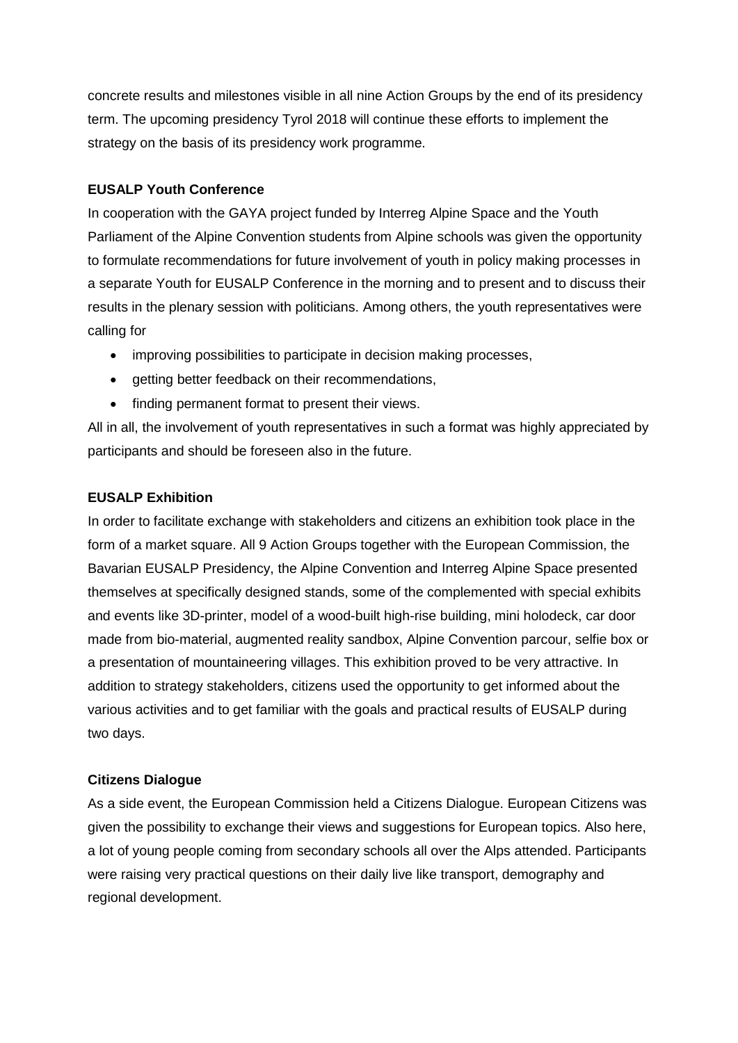concrete results and milestones visible in all nine Action Groups by the end of its presidency term. The upcoming presidency Tyrol 2018 will continue these efforts to implement the strategy on the basis of its presidency work programme.

#### **EUSALP Youth Conference**

In cooperation with the GAYA project funded by Interreg Alpine Space and the Youth Parliament of the Alpine Convention students from Alpine schools was given the opportunity to formulate recommendations for future involvement of youth in policy making processes in a separate Youth for EUSALP Conference in the morning and to present and to discuss their results in the plenary session with politicians. Among others, the youth representatives were calling for

- improving possibilities to participate in decision making processes,
- getting better feedback on their recommendations,
- finding permanent format to present their views.

All in all, the involvement of youth representatives in such a format was highly appreciated by participants and should be foreseen also in the future.

#### **EUSALP Exhibition**

In order to facilitate exchange with stakeholders and citizens an exhibition took place in the form of a market square. All 9 Action Groups together with the European Commission, the Bavarian EUSALP Presidency, the Alpine Convention and Interreg Alpine Space presented themselves at specifically designed stands, some of the complemented with special exhibits and events like 3D-printer, model of a wood-built high-rise building, mini holodeck, car door made from bio-material, augmented reality sandbox, Alpine Convention parcour, selfie box or a presentation of mountaineering villages. This exhibition proved to be very attractive. In addition to strategy stakeholders, citizens used the opportunity to get informed about the various activities and to get familiar with the goals and practical results of EUSALP during two days.

#### **Citizens Dialogue**

As a side event, the European Commission held a Citizens Dialogue. European Citizens was given the possibility to exchange their views and suggestions for European topics. Also here, a lot of young people coming from secondary schools all over the Alps attended. Participants were raising very practical questions on their daily live like transport, demography and regional development.